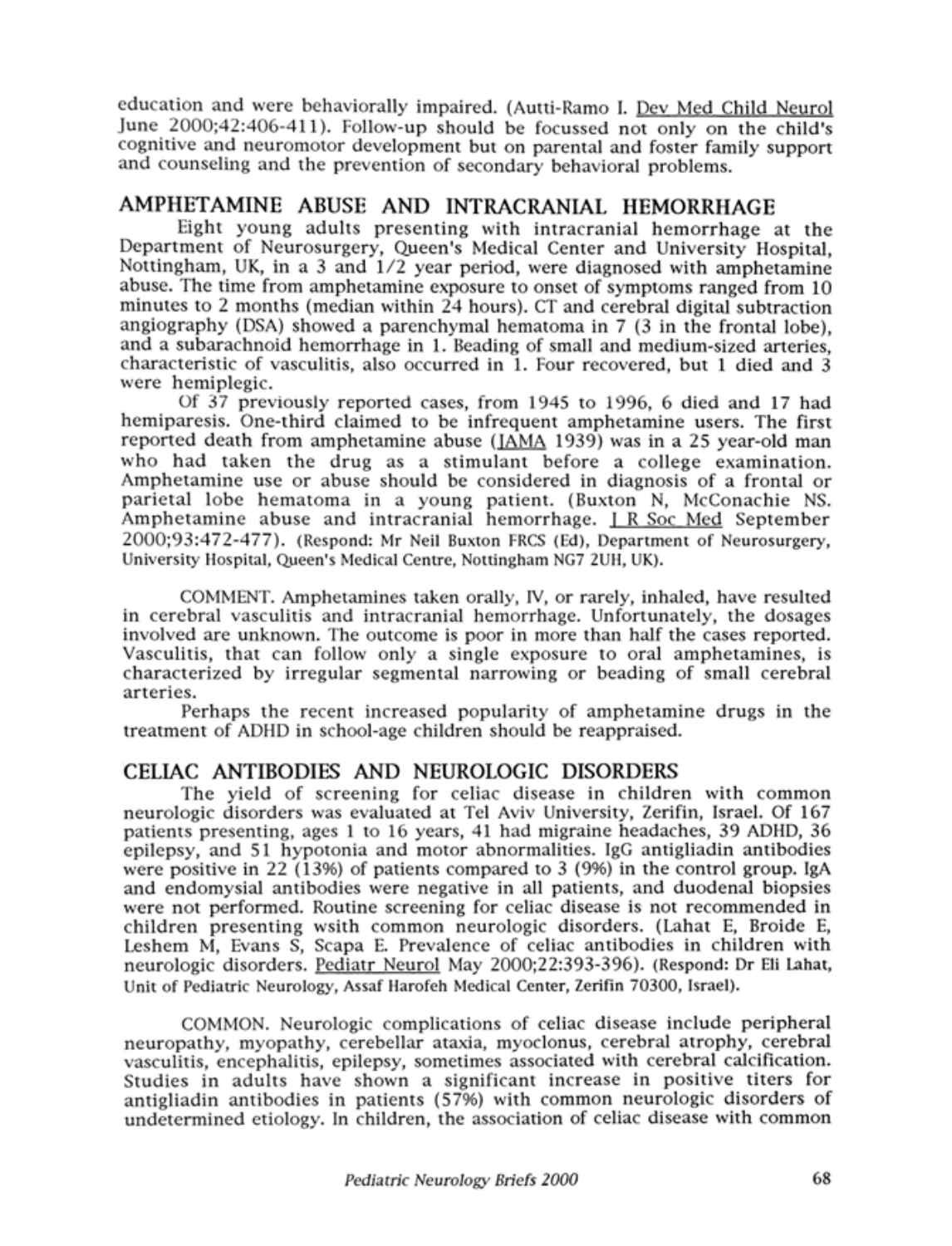education and were behaviorally impaired. (Autti-Ramo I. Dev Med Child Neurol June 2000;42:406-411). Follow-up should be focussed not only on the child's cognitive and neuromotor development but on parental and foster family support and counseling and the prevention of secondary behavioral problems.

### AMPHETAMINE ABUSE AND INTRACRANIAL HEMORRHAGE

Eight young adults presenting with intracranial hemorrhage at the Department of Neurosurgery, Queen's Medical Center and University Hospital, Nottingham, UK, in a <sup>3</sup> and 1/2 year period, were diagnosed with amphetamine abuse. The time from amphetamine exposure to onset of symptoms ranged from <sup>10</sup> minutes to <sup>2</sup> months (median within 24 hours). CT and cerebral digital subtraction angiography (DSA) showed a parenchymal hematoma in 7 (3 in the frontal lobe), and a subarachnoid hemorrhage in 1. Beading of small and medium-sized arteries, characteristic of vasculitis, also occurred in 1. Four recovered, but <sup>1</sup> died and <sup>3</sup> were hemiplegic.

Of 37 previously reported cases, from 1945 to 1996, <sup>6</sup> died and <sup>17</sup> had hemiparesis. One-third claimed to be infrequent amphetamine users. The first reported death from amphetamine abuse (JAMA 1939) was in a 25 year-old man who had taken the drug as <sup>a</sup> stimulant before <sup>a</sup> college examination. Amphetamine use or abuse should be considered in diagnosis of a frontal or parietal lobe hematoma in a young patient. (Buxton N, McConachie NS. Amphetamine abuse and intracranial hemorrhage. I R Soc Med September 2000;93:472-477). (Respond: Mr Neil Buxton FRCS (Ed), Department of Neurosurgery, University Hospital, Queen's Medical Centre, Nottingham NG7 2UH, UK).

COMMENT. Amphetamines taken orally, IV, or rarely, inhaled, have resulted in cerebral vasculitis and intracranial hemorrhage. Unfortunately, the dosages involved are unknown. The outcome is poor in more than half the cases reported. Vasculitis, that can follow only a single exposure to oral amphetamines, is characterized by irregular segmental narrowing or beading of small cerebral arteries.

Perhaps the recent increased popularity of amphetamine drugs in the treatment of ADHD in school-age children should be reappraised.

# CELIAC ANTIBODIES AND NEUROLOGIC DISORDERS

The yield of screening for celiac disease in children with common neurologic disorders was evaluated at Tel Aviv University, Zerifin, Israel. Of 167 patients presenting, ages <sup>1</sup> to 16 years, 41 had migraine headaches, 39 ADHD, 36 epilepsy, and 51 hypotonia and motor abnormalities. IgG antigliadin antibodies were positive in 22 (13%) of patients compared to <sup>3</sup> (9%) in the control group. IgA and endomysial antibodies were negative in all patients, and duodenal biopsies were not performed. Routine screening for celiac disease is not recommended in children presenting wsith common neurologic disorders. (Lahat E, Broide E, Leshem M, Evans S, Scapa E. Prevalence of celiac antibodies in children with neurologic disorders. Pediatr Neurol May 2000;22:393-396). (Respond: Dr Eli Lahat, Unit of Pediatric Neurology, Assaf Harofeh Medical Center, Zerifin 70300, Israel).

COMMON. Neurologic complications of celiac disease include peripheral neuropathy, myopathy, cerebellar ataxia, myoclonus, cerebral atrophy, cerebral vasculitis, encephalitis, epilepsy, sometimes associated with cerebral calcification. Studies in adults have shown <sup>a</sup> significant increase in positive titers for antigliadin antibodies in patients (57%) with common neurologic disorders of undetermined etiology. In children, the association of celiac disease with common